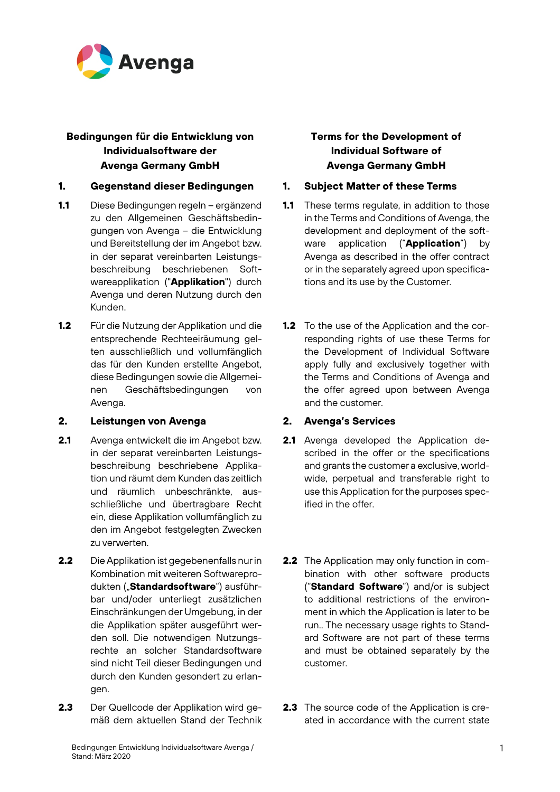

# **Bedingungen für die Entwicklung von Individualsoftware der Avenga Germany GmbH**

## **1. Gegenstand dieser Bedingungen 1. Subject Matter of these Terms**

- **1.1** Diese Bedingungen regeln ergänzend zu den Allgemeinen Geschäftsbedingungen von Avenga – die Entwicklung und Bereitstellung der im Angebot bzw. in der separat vereinbarten Leistungsbeschreibung beschriebenen Softwareapplikation ("**Applikation**") durch Avenga und deren Nutzung durch den Kunden.
- **1.2** Für die Nutzung der Applikation und die entsprechende Rechteeiräumung gelten ausschließlich und vollumfänglich das für den Kunden erstellte Angebot, diese Bedingungen sowie die Allgemeinen Geschäftsbedingungen von Avenga.

### **2. Leistungen von Avenga 2. Avenga's Services**

- **2.1** Avenga entwickelt die im Angebot bzw. in der separat vereinbarten Leistungsbeschreibung beschriebene Applikation und räumt dem Kunden das zeitlich und räumlich unbeschränkte, ausschließliche und übertragbare Recht ein, diese Applikation vollumfänglich zu den im Angebot festgelegten Zwecken zu verwerten.
- **2.2** Die Applikation ist gegebenenfalls nur in Kombination mit weiteren Softwareprodukten ("**Standardsoftware**") ausführbar und/oder unterliegt zusätzlichen Einschränkungen der Umgebung, in der die Applikation später ausgeführt werden soll. Die notwendigen Nutzungsrechte an solcher Standardsoftware sind nicht Teil dieser Bedingungen und durch den Kunden gesondert zu erlangen.
- **2.3** Der Quellcode der Applikation wird gemäß dem aktuellen Stand der Technik

# **Terms for the Development of Individual Software of Avenga Germany GmbH**

- **1.1** These terms regulate, in addition to those in the Terms and Conditions of Avenga, the development and deployment of the software application ("**Application**") by Avenga as described in the offer contract or in the separately agreed upon specifications and its use by the Customer.
- **1.2** To the use of the Application and the corresponding rights of use these Terms for the Development of Individual Software apply fully and exclusively together with the Terms and Conditions of Avenga and the offer agreed upon between Avenga and the customer.

- **2.1** Avenga developed the Application described in the offer or the specifications and grants the customer a exclusive, worldwide, perpetual and transferable right to use this Application for the purposes specified in the offer.
- **2.2** The Application may only function in combination with other software products ("**Standard Software**") and/or is subject to additional restrictions of the environment in which the Application is later to be run.. The necessary usage rights to Standard Software are not part of these terms and must be obtained separately by the customer.
- **2.3** The source code of the Application is created in accordance with the current state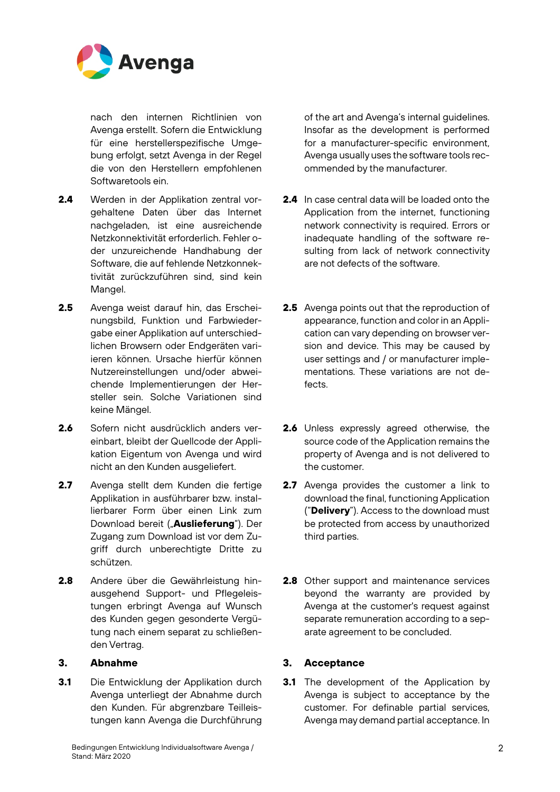

nach den internen Richtlinien von Avenga erstellt. Sofern die Entwicklung für eine herstellerspezifische Umgebung erfolgt, setzt Avenga in der Regel die von den Herstellern empfohlenen Softwaretools ein.

- **2.4** Werden in der Applikation zentral vorgehaltene Daten über das Internet nachgeladen, ist eine ausreichende Netzkonnektivität erforderlich. Fehler oder unzureichende Handhabung der Software, die auf fehlende Netzkonnektivität zurückzuführen sind, sind kein Mangel.
- **2.5** Avenga weist darauf hin, das Erscheinungsbild, Funktion und Farbwiedergabe einer Applikation auf unterschiedlichen Browsern oder Endgeräten variieren können. Ursache hierfür können Nutzereinstellungen und/oder abweichende Implementierungen der Hersteller sein. Solche Variationen sind keine Mängel.
- **2.6** Sofern nicht ausdrücklich anders vereinbart, bleibt der Quellcode der Applikation Eigentum von Avenga und wird nicht an den Kunden ausgeliefert.
- **2.7** Avenga stellt dem Kunden die fertige Applikation in ausführbarer bzw. installierbarer Form über einen Link zum Download bereit ("**Auslieferung**"). Der Zugang zum Download ist vor dem Zugriff durch unberechtigte Dritte zu schützen.
- **2.8** Andere über die Gewährleistung hinausgehend Support- und Pflegeleistungen erbringt Avenga auf Wunsch des Kunden gegen gesonderte Vergütung nach einem separat zu schließenden Vertrag.

**3.1** Die Entwicklung der Applikation durch Avenga unterliegt der Abnahme durch den Kunden. Für abgrenzbare Teilleistungen kann Avenga die Durchführung

of the art and Avenga's internal guidelines. Insofar as the development is performed for a manufacturer-specific environment, Avenga usually uses the software tools recommended by the manufacturer.

- **2.4** In case central data will be loaded onto the Application from the internet, functioning network connectivity is required. Errors or inadequate handling of the software resulting from lack of network connectivity are not defects of the software.
- **2.5** Avenga points out that the reproduction of appearance, function and color in an Application can vary depending on browser version and device. This may be caused by user settings and / or manufacturer implementations. These variations are not defects.
- **2.6** Unless expressly agreed otherwise, the source code of the Application remains the property of Avenga and is not delivered to the customer.
- **2.7** Avenga provides the customer a link to download the final, functioning Application ("**Delivery**"). Access to the download must be protected from access by unauthorized third parties.
- **2.8** Other support and maintenance services beyond the warranty are provided by Avenga at the customer's request against separate remuneration according to a separate agreement to be concluded.

## **3. Abnahme 3. Acceptance**

**3.1** The development of the Application by Avenga is subject to acceptance by the customer. For definable partial services, Avenga may demand partial acceptance. In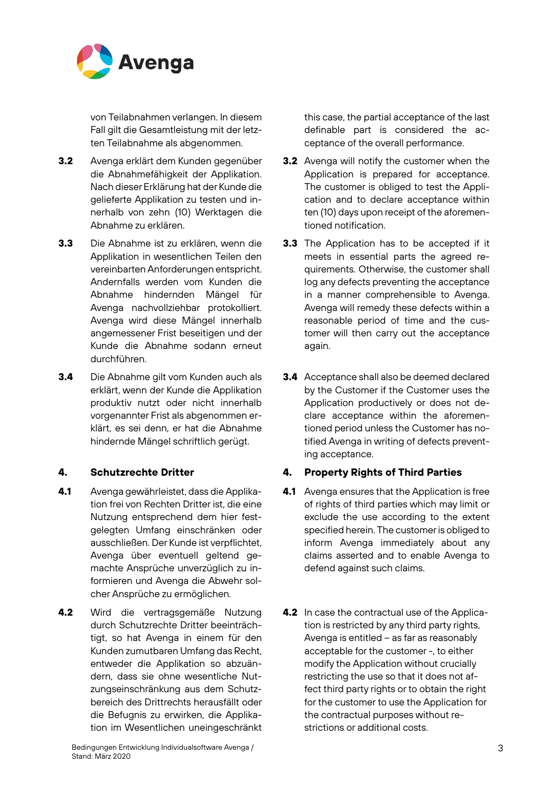

von Teilabnahmen verlangen. In diesem Fall gilt die Gesamtleistung mit der letzten Teilabnahme als abgenommen.

- **3.2** Avenga erklärt dem Kunden gegenüber die Abnahmefähigkeit der Applikation. Nach dieser Erklärung hat der Kunde die gelieferte Applikation zu testen und innerhalb von zehn (10) Werktagen die Abnahme zu erklären.
- **3.3** Die Abnahme ist zu erklären, wenn die Applikation in wesentlichen Teilen den vereinbarten Anforderungen entspricht. Andernfalls werden vom Kunden die Abnahme hindernden Mängel für Avenga nachvollziehbar protokolliert. Avenga wird diese Mängel innerhalb angemessener Frist beseitigen und der Kunde die Abnahme sodann erneut durchführen.
- **3.4** Die Abnahme gilt vom Kunden auch als erklärt, wenn der Kunde die Applikation produktiv nutzt oder nicht innerhalb vorgenannter Frist als abgenommen erklärt, es sei denn, er hat die Abnahme hindernde Mängel schriftlich gerügt.

- **4.1** Avenga gewährleistet, dass die Applikation frei von Rechten Dritter ist, die eine Nutzung entsprechend dem hier festgelegten Umfang einschränken oder ausschließen. Der Kunde ist verpflichtet, Avenga über eventuell geltend gemachte Ansprüche unverzüglich zu informieren und Avenga die Abwehr solcher Ansprüche zu ermöglichen.
- **4.2** Wird die vertragsgemäße Nutzung durch Schutzrechte Dritter beeinträchtigt, so hat Avenga in einem für den Kunden zumutbaren Umfang das Recht, entweder die Applikation so abzuändern, dass sie ohne wesentliche Nutzungseinschränkung aus dem Schutzbereich des Drittrechts herausfällt oder die Befugnis zu erwirken, die Applikation im Wesentlichen uneingeschränkt

this case, the partial acceptance of the last definable part is considered the acceptance of the overall performance.

- **3.2** Avenga will notify the customer when the Application is prepared for acceptance. The customer is obliged to test the Application and to declare acceptance within ten (10) days upon receipt of the aforementioned notification.
- **3.3** The Application has to be accepted if it meets in essential parts the agreed requirements. Otherwise, the customer shall log any defects preventing the acceptance in a manner comprehensible to Avenga. Avenga will remedy these defects within a reasonable period of time and the customer will then carry out the acceptance again.
- **3.4** Acceptance shall also be deemed declared by the Customer if the Customer uses the Application productively or does not declare acceptance within the aforementioned period unless the Customer has notified Avenga in writing of defects preventing acceptance.

# **4. Schutzrechte Dritter 4. Property Rights of Third Parties**

- **4.1** Avenga ensures that the Application is free of rights of third parties which may limit or exclude the use according to the extent specified herein. The customer is obliged to inform Avenga immediately about any claims asserted and to enable Avenga to defend against such claims.
- **4.2** In case the contractual use of the Application is restricted by any third party rights, Avenga is entitled – as far as reasonably acceptable for the customer -, to either modify the Application without crucially restricting the use so that it does not affect third party rights or to obtain the right for the customer to use the Application for the contractual purposes without restrictions or additional costs.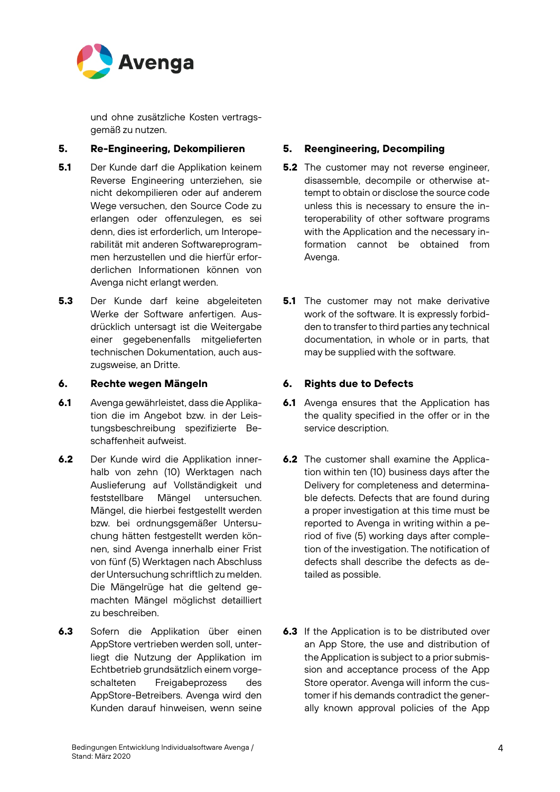

und ohne zusätzliche Kosten vertragsgemäß zu nutzen.

## **5. Re-Engineering, Dekompilieren 5. Reengineering, Decompiling**

- **5.1** Der Kunde darf die Applikation keinem Reverse Engineering unterziehen, sie nicht dekompilieren oder auf anderem Wege versuchen, den Source Code zu erlangen oder offenzulegen, es sei denn, dies ist erforderlich, um Interoperabilität mit anderen Softwareprogrammen herzustellen und die hierfür erforderlichen Informationen können von Avenga nicht erlangt werden.
- **5.3** Der Kunde darf keine abgeleiteten Werke der Software anfertigen. Ausdrücklich untersagt ist die Weitergabe einer gegebenenfalls mitgelieferten technischen Dokumentation, auch auszugsweise, an Dritte.

### **6. Rechte wegen Mängeln 6. Rights due to Defects**

- **6.1** Avenga gewährleistet, dass die Applikation die im Angebot bzw. in der Leistungsbeschreibung spezifizierte Beschaffenheit aufweist.
- **6.2** Der Kunde wird die Applikation innerhalb von zehn (10) Werktagen nach Auslieferung auf Vollständigkeit und feststellbare Mängel untersuchen. Mängel, die hierbei festgestellt werden bzw. bei ordnungsgemäßer Untersuchung hätten festgestellt werden können, sind Avenga innerhalb einer Frist von fünf (5) Werktagen nach Abschluss der Untersuchung schriftlich zu melden. Die Mängelrüge hat die geltend gemachten Mängel möglichst detailliert zu beschreiben.
- **6.3** Sofern die Applikation über einen AppStore vertrieben werden soll, unterliegt die Nutzung der Applikation im Echtbetrieb grundsätzlich einem vorgeschalteten Freigabeprozess des AppStore-Betreibers. Avenga wird den Kunden darauf hinweisen, wenn seine

- **5.2** The customer may not reverse engineer, disassemble, decompile or otherwise attempt to obtain or disclose the source code unless this is necessary to ensure the interoperability of other software programs with the Application and the necessary information cannot be obtained from Avenga.
- **5.1** The customer may not make derivative work of the software. It is expressly forbidden to transfer to third parties any technical documentation, in whole or in parts, that may be supplied with the software.

- **6.1** Avenga ensures that the Application has the quality specified in the offer or in the service description.
- **6.2** The customer shall examine the Application within ten (10) business days after the Delivery for completeness and determinable defects. Defects that are found during a proper investigation at this time must be reported to Avenga in writing within a period of five (5) working days after completion of the investigation. The notification of defects shall describe the defects as detailed as possible.
- **6.3** If the Application is to be distributed over an App Store, the use and distribution of the Application is subject to a prior submission and acceptance process of the App Store operator. Avenga will inform the customer if his demands contradict the generally known approval policies of the App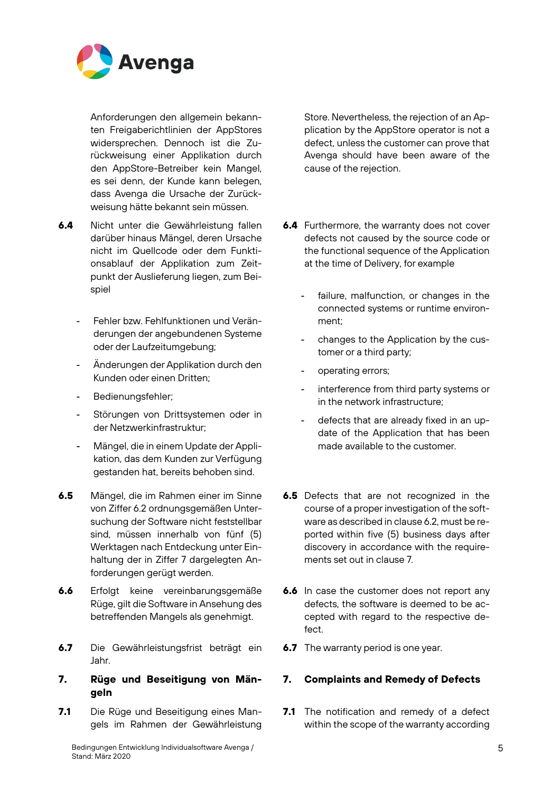

Anforderungen den allgemein bekannten Freigaberichtlinien der AppStores widersprechen. Dennoch ist die Zurückweisung einer Applikation durch den AppStore-Betreiber kein Mangel, es sei denn, der Kunde kann belegen, dass Avenga die Ursache der Zurückweisung hätte bekannt sein müssen.

- **6.4** Nicht unter die Gewährleistung fallen darüber hinaus Mängel, deren Ursache nicht im Quellcode oder dem Funktionsablauf der Applikation zum Zeitpunkt der Auslieferung liegen, zum Beispiel
	- Fehler bzw. Fehlfunktionen und Veränderungen der angebundenen Systeme oder der Laufzeitumgebung;
	- Änderungen der Applikation durch den Kunden oder einen Dritten;
	- Bedienungsfehler;
	- Störungen von Drittsystemen oder in der Netzwerkinfrastruktur;
	- Mängel, die in einem Update der Applikation, das dem Kunden zur Verfügung gestanden hat, bereits behoben sind.
- **6.5** Mängel, die im Rahmen einer im Sinne von Ziffer 6.2 ordnungsgemäßen Untersuchung der Software nicht feststellbar sind, müssen innerhalb von fünf (5) Werktagen nach Entdeckung unter Einhaltung der in Ziffer 7 dargelegten Anforderungen gerügt werden.
- **6.6** Erfolgt keine vereinbarungsgemäße Rüge, gilt die Software in Ansehung des betreffenden Mangels als genehmigt.
- **6.7** Die Gewährleistungsfrist beträgt ein Jahr.

## **7. Rüge und Beseitigung von Mängeln**

**7.1** Die Rüge und Beseitigung eines Mangels im Rahmen der Gewährleistung Store. Nevertheless, the rejection of an Application by the AppStore operator is not a defect, unless the customer can prove that Avenga should have been aware of the cause of the rejection.

- **6.4** Furthermore, the warranty does not cover defects not caused by the source code or the functional sequence of the Application at the time of Delivery, for example
	- failure, malfunction, or changes in the connected systems or runtime environment;
	- changes to the Application by the customer or a third party;
	- operating errors;
	- interference from third party systems or in the network infrastructure;
	- defects that are already fixed in an update of the Application that has been made available to the customer.
- **6.5** Defects that are not recognized in the course of a proper investigation of the software as described in clause 6.2, must be reported within five (5) business days after discovery in accordance with the requirements set out in clause 7.
- **6.6** In case the customer does not report any defects, the software is deemed to be accepted with regard to the respective defect.
- **6.7** The warranty period is one year.

## **7. Complaints and Remedy of Defects**

**7.1** The notification and remedy of a defect within the scope of the warranty according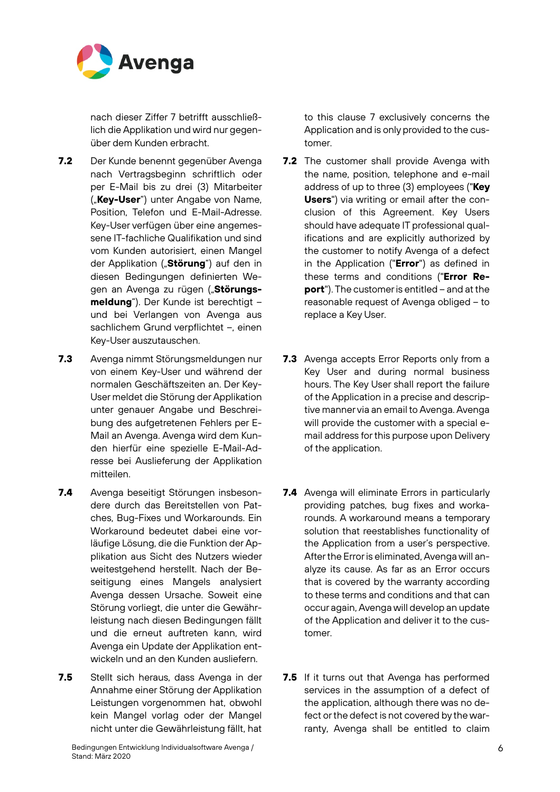

nach dieser Ziffer 7 betrifft ausschließlich die Applikation und wird nur gegenüber dem Kunden erbracht.

- **7.2** Der Kunde benennt gegenüber Avenga nach Vertragsbeginn schriftlich oder per E-Mail bis zu drei (3) Mitarbeiter ("**Key-User**") unter Angabe von Name, Position, Telefon und E-Mail-Adresse. Key-User verfügen über eine angemessene IT-fachliche Qualifikation und sind vom Kunden autorisiert, einen Mangel der Applikation ("**Störung**") auf den in diesen Bedingungen definierten Wegen an Avenga zu rügen ("Störungs**meldung**"). Der Kunde ist berechtigt – und bei Verlangen von Avenga aus sachlichem Grund verpflichtet –, einen Key-User auszutauschen.
- **7.3** Avenga nimmt Störungsmeldungen nur von einem Key-User und während der normalen Geschäftszeiten an. Der Key-User meldet die Störung der Applikation unter genauer Angabe und Beschreibung des aufgetretenen Fehlers per E-Mail an Avenga. Avenga wird dem Kunden hierfür eine spezielle E-Mail-Adresse bei Auslieferung der Applikation mitteilen.
- **7.4** Avenga beseitigt Störungen insbesondere durch das Bereitstellen von Patches, Bug-Fixes und Workarounds. Ein Workaround bedeutet dabei eine vorläufige Lösung, die die Funktion der Applikation aus Sicht des Nutzers wieder weitestgehend herstellt. Nach der Beseitigung eines Mangels analysiert Avenga dessen Ursache. Soweit eine Störung vorliegt, die unter die Gewährleistung nach diesen Bedingungen fällt und die erneut auftreten kann, wird Avenga ein Update der Applikation entwickeln und an den Kunden ausliefern.
- **7.5** Stellt sich heraus, dass Avenga in der Annahme einer Störung der Applikation Leistungen vorgenommen hat, obwohl kein Mangel vorlag oder der Mangel nicht unter die Gewährleistung fällt, hat

to this clause 7 exclusively concerns the Application and is only provided to the customer.

- **7.2** The customer shall provide Avenga with the name, position, telephone and e-mail address of up to three (3) employees ("**Key Users**") via writing or email after the conclusion of this Agreement. Key Users should have adequate IT professional qualifications and are explicitly authorized by the customer to notify Avenga of a defect in the Application ("**Error**") as defined in these terms and conditions ("**Error Report**"). The customer is entitled – and at the reasonable request of Avenga obliged – to replace a Key User.
- **7.3** Avenga accepts Error Reports only from a Key User and during normal business hours. The Key User shall report the failure of the Application in a precise and descriptive manner via an email to Avenga. Avenga will provide the customer with a special email address for this purpose upon Delivery of the application.
- **7.4** Avenga will eliminate Errors in particularly providing patches, bug fixes and workarounds. A workaround means a temporary solution that reestablishes functionality of the Application from a user's perspective. After the Error is eliminated, Avenga will analyze its cause. As far as an Error occurs that is covered by the warranty according to these terms and conditions and that can occur again, Avenga will develop an update of the Application and deliver it to the customer.
- **7.5** If it turns out that Avenga has performed services in the assumption of a defect of the application, although there was no defect or the defect is not covered by the warranty, Avenga shall be entitled to claim